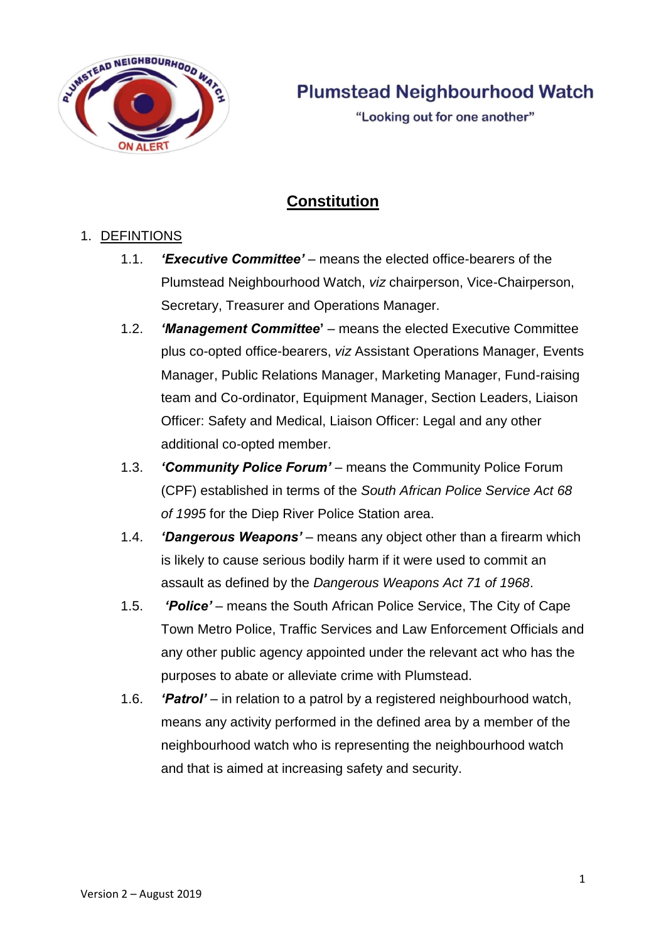

"Looking out for one another"

# **Constitution**

# 1. DEFINTIONS

- 1.1. *'Executive Committee'* means the elected office-bearers of the Plumstead Neighbourhood Watch, *viz* chairperson, Vice-Chairperson, Secretary, Treasurer and Operations Manager.
- 1.2. *'Management Committee***'** means the elected Executive Committee plus co-opted office-bearers, *viz* Assistant Operations Manager, Events Manager, Public Relations Manager, Marketing Manager, Fund-raising team and Co-ordinator, Equipment Manager, Section Leaders, Liaison Officer: Safety and Medical, Liaison Officer: Legal and any other additional co-opted member.
- 1.3. *'Community Police Forum' –* means the Community Police Forum (CPF) established in terms of the *South African Police Service Act 68 of 1995* for the Diep River Police Station area.
- 1.4. *'Dangerous Weapons' –* means any object other than a firearm which is likely to cause serious bodily harm if it were used to commit an assault as defined by the *Dangerous Weapons Act 71 of 1968*.
- 1.5. *'Police' –* means the South African Police Service, The City of Cape Town Metro Police, Traffic Services and Law Enforcement Officials and any other public agency appointed under the relevant act who has the purposes to abate or alleviate crime with Plumstead.
- 1.6. *'Patrol' –* in relation to a patrol by a registered neighbourhood watch, means any activity performed in the defined area by a member of the neighbourhood watch who is representing the neighbourhood watch and that is aimed at increasing safety and security.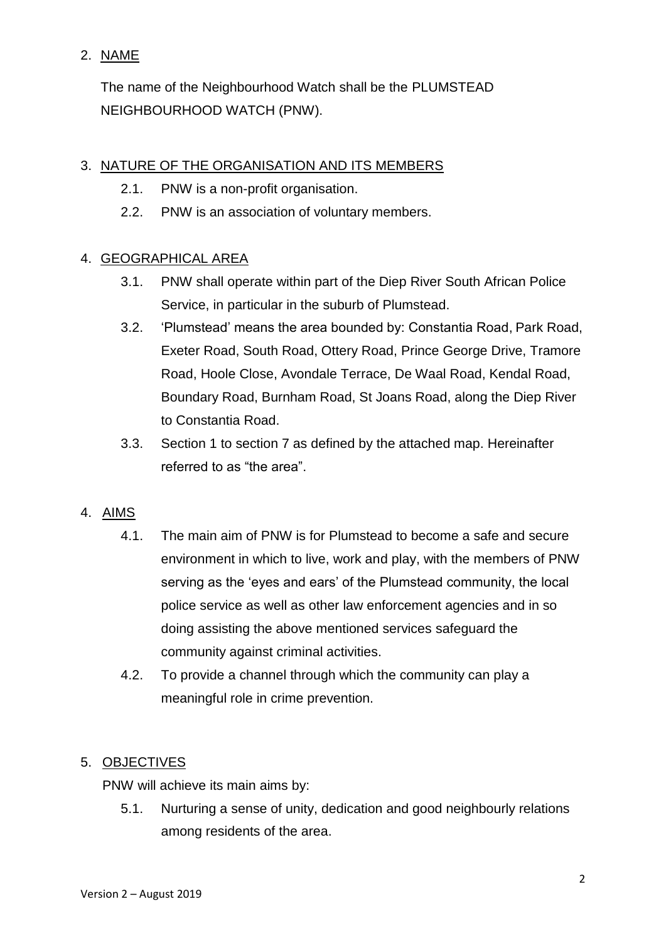## 2. NAME

The name of the Neighbourhood Watch shall be the PLUMSTEAD NEIGHBOURHOOD WATCH (PNW).

# 3. NATURE OF THE ORGANISATION AND ITS MEMBERS

- 2.1. PNW is a non-profit organisation.
- 2.2. PNW is an association of voluntary members.

# 4. GEOGRAPHICAL AREA

- 3.1. PNW shall operate within part of the Diep River South African Police Service, in particular in the suburb of Plumstead.
- 3.2. 'Plumstead' means the area bounded by: Constantia Road, Park Road, Exeter Road, South Road, Ottery Road, Prince George Drive, Tramore Road, Hoole Close, Avondale Terrace, De Waal Road, Kendal Road, Boundary Road, Burnham Road, St Joans Road, along the Diep River to Constantia Road.
- 3.3. Section 1 to section 7 as defined by the attached map. Hereinafter referred to as "the area".

## 4. AIMS

- 4.1. The main aim of PNW is for Plumstead to become a safe and secure environment in which to live, work and play, with the members of PNW serving as the 'eyes and ears' of the Plumstead community, the local police service as well as other law enforcement agencies and in so doing assisting the above mentioned services safeguard the community against criminal activities.
- 4.2. To provide a channel through which the community can play a meaningful role in crime prevention.

## 5. OBJECTIVES

PNW will achieve its main aims by:

5.1. Nurturing a sense of unity, dedication and good neighbourly relations among residents of the area.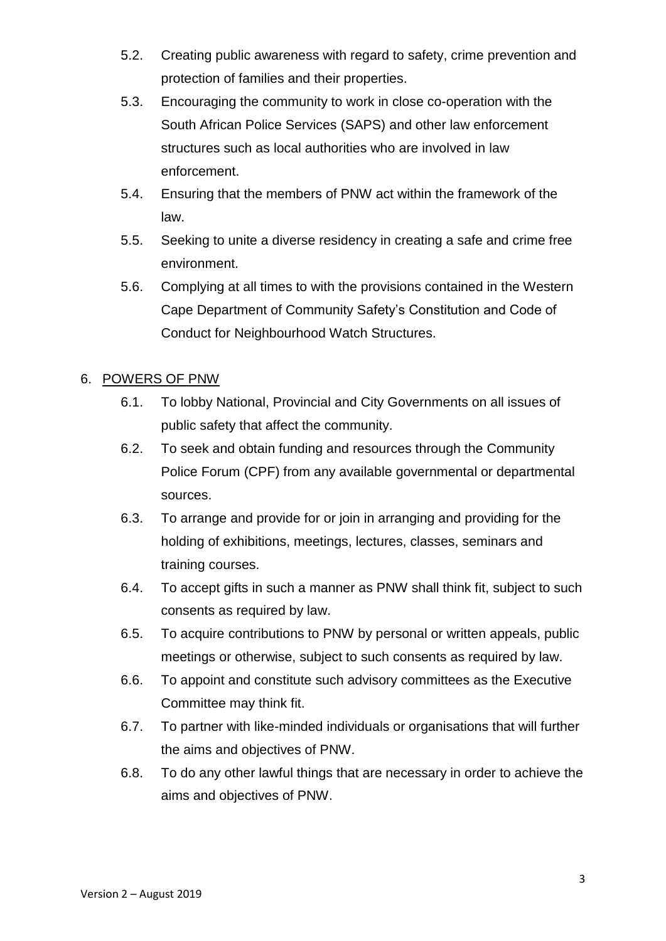- 5.2. Creating public awareness with regard to safety, crime prevention and protection of families and their properties.
- 5.3. Encouraging the community to work in close co-operation with the South African Police Services (SAPS) and other law enforcement structures such as local authorities who are involved in law enforcement.
- 5.4. Ensuring that the members of PNW act within the framework of the law.
- 5.5. Seeking to unite a diverse residency in creating a safe and crime free environment.
- 5.6. Complying at all times to with the provisions contained in the Western Cape Department of Community Safety's Constitution and Code of Conduct for Neighbourhood Watch Structures.

## 6. POWERS OF PNW

- 6.1. To lobby National, Provincial and City Governments on all issues of public safety that affect the community.
- 6.2. To seek and obtain funding and resources through the Community Police Forum (CPF) from any available governmental or departmental sources.
- 6.3. To arrange and provide for or join in arranging and providing for the holding of exhibitions, meetings, lectures, classes, seminars and training courses.
- 6.4. To accept gifts in such a manner as PNW shall think fit, subject to such consents as required by law.
- 6.5. To acquire contributions to PNW by personal or written appeals, public meetings or otherwise, subject to such consents as required by law.
- 6.6. To appoint and constitute such advisory committees as the Executive Committee may think fit.
- 6.7. To partner with like-minded individuals or organisations that will further the aims and objectives of PNW.
- 6.8. To do any other lawful things that are necessary in order to achieve the aims and objectives of PNW.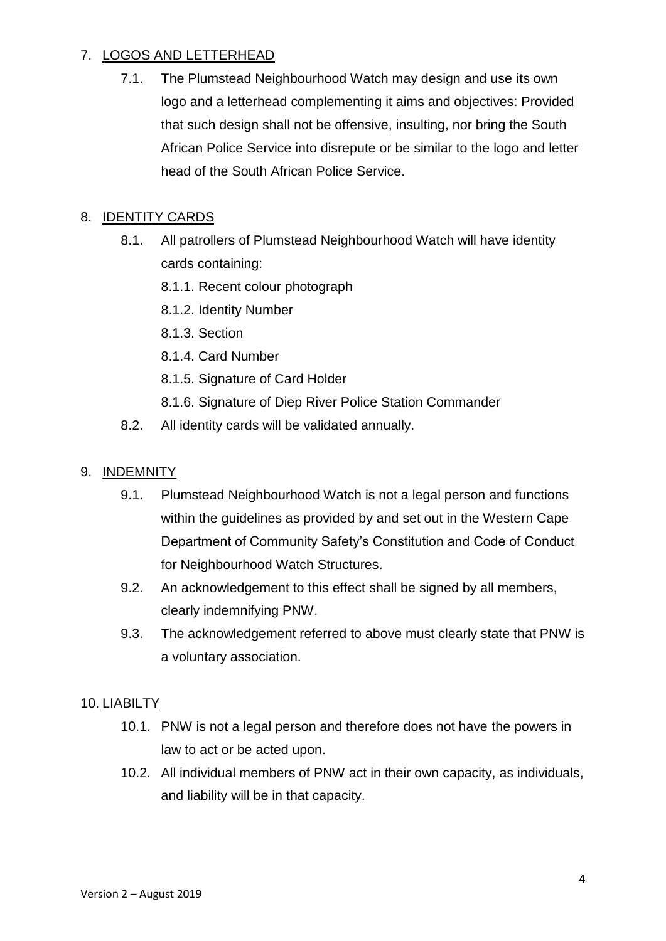# 7. LOGOS AND LETTERHEAD

7.1. The Plumstead Neighbourhood Watch may design and use its own logo and a letterhead complementing it aims and objectives: Provided that such design shall not be offensive, insulting, nor bring the South African Police Service into disrepute or be similar to the logo and letter head of the South African Police Service.

# 8. IDENTITY CARDS

- 8.1. All patrollers of Plumstead Neighbourhood Watch will have identity cards containing:
	- 8.1.1. Recent colour photograph
	- 8.1.2. Identity Number
	- 8.1.3. Section
	- 8.1.4. Card Number
	- 8.1.5. Signature of Card Holder
	- 8.1.6. Signature of Diep River Police Station Commander
- 8.2. All identity cards will be validated annually.

## 9. INDEMNITY

- 9.1. Plumstead Neighbourhood Watch is not a legal person and functions within the guidelines as provided by and set out in the Western Cape Department of Community Safety's Constitution and Code of Conduct for Neighbourhood Watch Structures.
- 9.2. An acknowledgement to this effect shall be signed by all members, clearly indemnifying PNW.
- 9.3. The acknowledgement referred to above must clearly state that PNW is a voluntary association.

## 10. LIABILTY

- 10.1. PNW is not a legal person and therefore does not have the powers in law to act or be acted upon.
- 10.2. All individual members of PNW act in their own capacity, as individuals, and liability will be in that capacity.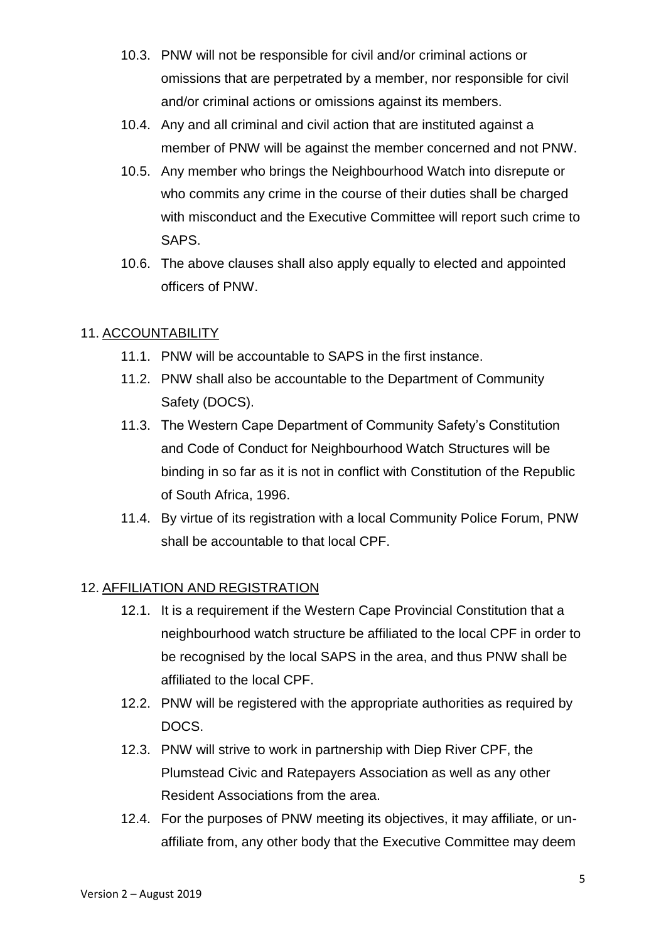- 10.3. PNW will not be responsible for civil and/or criminal actions or omissions that are perpetrated by a member, nor responsible for civil and/or criminal actions or omissions against its members.
- 10.4. Any and all criminal and civil action that are instituted against a member of PNW will be against the member concerned and not PNW.
- 10.5. Any member who brings the Neighbourhood Watch into disrepute or who commits any crime in the course of their duties shall be charged with misconduct and the Executive Committee will report such crime to SAPS.
- 10.6. The above clauses shall also apply equally to elected and appointed officers of PNW.

# 11. ACCOUNTABILITY

- 11.1. PNW will be accountable to SAPS in the first instance.
- 11.2. PNW shall also be accountable to the Department of Community Safety (DOCS).
- 11.3. The Western Cape Department of Community Safety's Constitution and Code of Conduct for Neighbourhood Watch Structures will be binding in so far as it is not in conflict with Constitution of the Republic of South Africa, 1996.
- 11.4. By virtue of its registration with a local Community Police Forum, PNW shall be accountable to that local CPF.

## 12. AFFILIATION AND REGISTRATION

- 12.1. It is a requirement if the Western Cape Provincial Constitution that a neighbourhood watch structure be affiliated to the local CPF in order to be recognised by the local SAPS in the area, and thus PNW shall be affiliated to the local CPF.
- 12.2. PNW will be registered with the appropriate authorities as required by DOCS.
- 12.3. PNW will strive to work in partnership with Diep River CPF, the Plumstead Civic and Ratepayers Association as well as any other Resident Associations from the area.
- 12.4. For the purposes of PNW meeting its objectives, it may affiliate, or unaffiliate from, any other body that the Executive Committee may deem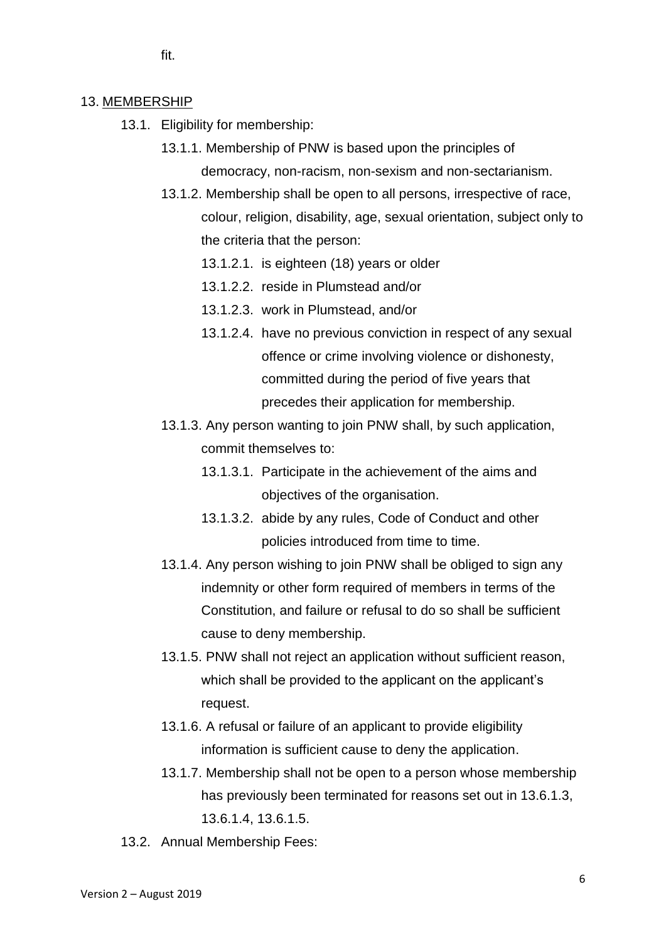fit.

#### 13. MEMBERSHIP

- 13.1. Eligibility for membership:
	- 13.1.1. Membership of PNW is based upon the principles of democracy, non-racism, non-sexism and non-sectarianism.
		- 13.1.2. Membership shall be open to all persons, irrespective of race, colour, religion, disability, age, sexual orientation, subject only to the criteria that the person:
			- 13.1.2.1. is eighteen (18) years or older
			- 13.1.2.2. reside in Plumstead and/or
			- 13.1.2.3. work in Plumstead, and/or
			- 13.1.2.4. have no previous conviction in respect of any sexual offence or crime involving violence or dishonesty, committed during the period of five years that precedes their application for membership.
	- 13.1.3. Any person wanting to join PNW shall, by such application, commit themselves to:
		- 13.1.3.1. Participate in the achievement of the aims and objectives of the organisation.
		- 13.1.3.2. abide by any rules, Code of Conduct and other policies introduced from time to time.
	- 13.1.4. Any person wishing to join PNW shall be obliged to sign any indemnity or other form required of members in terms of the Constitution, and failure or refusal to do so shall be sufficient cause to deny membership.
	- 13.1.5. PNW shall not reject an application without sufficient reason, which shall be provided to the applicant on the applicant's request.
	- 13.1.6. A refusal or failure of an applicant to provide eligibility information is sufficient cause to deny the application.
	- 13.1.7. Membership shall not be open to a person whose membership has previously been terminated for reasons set out in 13.6.1.3, 13.6.1.4, 13.6.1.5.
- 13.2. Annual Membership Fees: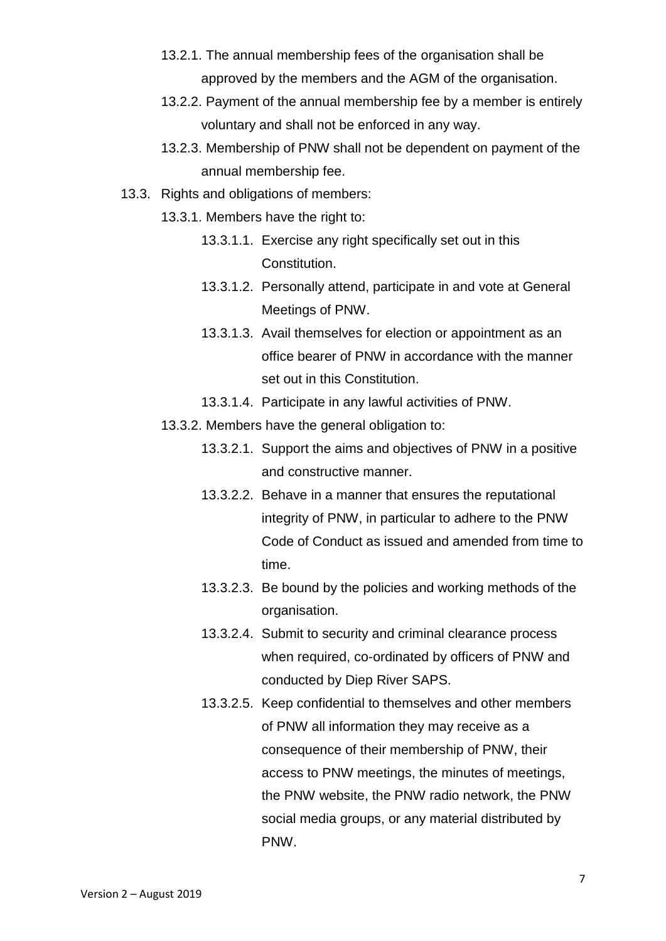- 13.2.1. The annual membership fees of the organisation shall be approved by the members and the AGM of the organisation.
- 13.2.2. Payment of the annual membership fee by a member is entirely voluntary and shall not be enforced in any way.
- 13.2.3. Membership of PNW shall not be dependent on payment of the annual membership fee.
- 13.3. Rights and obligations of members:
	- 13.3.1. Members have the right to:
		- 13.3.1.1. Exercise any right specifically set out in this Constitution.
		- 13.3.1.2. Personally attend, participate in and vote at General Meetings of PNW.
		- 13.3.1.3. Avail themselves for election or appointment as an office bearer of PNW in accordance with the manner set out in this Constitution.
		- 13.3.1.4. Participate in any lawful activities of PNW.
	- 13.3.2. Members have the general obligation to:
		- 13.3.2.1. Support the aims and objectives of PNW in a positive and constructive manner.
		- 13.3.2.2. Behave in a manner that ensures the reputational integrity of PNW, in particular to adhere to the PNW Code of Conduct as issued and amended from time to time.
		- 13.3.2.3. Be bound by the policies and working methods of the organisation.
		- 13.3.2.4. Submit to security and criminal clearance process when required, co-ordinated by officers of PNW and conducted by Diep River SAPS.
		- 13.3.2.5. Keep confidential to themselves and other members of PNW all information they may receive as a consequence of their membership of PNW, their access to PNW meetings, the minutes of meetings, the PNW website, the PNW radio network, the PNW social media groups, or any material distributed by PNW.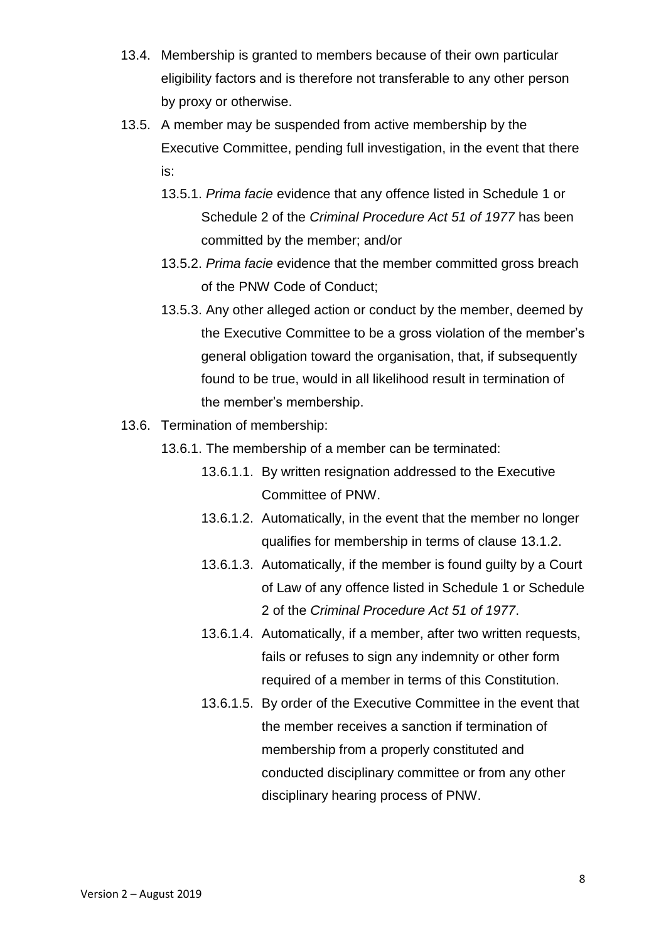- 13.4. Membership is granted to members because of their own particular eligibility factors and is therefore not transferable to any other person by proxy or otherwise.
- 13.5. A member may be suspended from active membership by the Executive Committee, pending full investigation, in the event that there is:
	- 13.5.1. *Prima facie* evidence that any offence listed in Schedule 1 or Schedule 2 of the *Criminal Procedure Act 51 of 1977* has been committed by the member; and/or
	- 13.5.2. *Prima facie* evidence that the member committed gross breach of the PNW Code of Conduct;
	- 13.5.3. Any other alleged action or conduct by the member, deemed by the Executive Committee to be a gross violation of the member's general obligation toward the organisation, that, if subsequently found to be true, would in all likelihood result in termination of the member's membership.
- 13.6. Termination of membership:
	- 13.6.1. The membership of a member can be terminated:
		- 13.6.1.1. By written resignation addressed to the Executive Committee of PNW.
		- 13.6.1.2. Automatically, in the event that the member no longer qualifies for membership in terms of clause 13.1.2.
		- 13.6.1.3. Automatically, if the member is found guilty by a Court of Law of any offence listed in Schedule 1 or Schedule 2 of the *Criminal Procedure Act 51 of 1977*.
		- 13.6.1.4. Automatically, if a member, after two written requests, fails or refuses to sign any indemnity or other form required of a member in terms of this Constitution.
		- 13.6.1.5. By order of the Executive Committee in the event that the member receives a sanction if termination of membership from a properly constituted and conducted disciplinary committee or from any other disciplinary hearing process of PNW.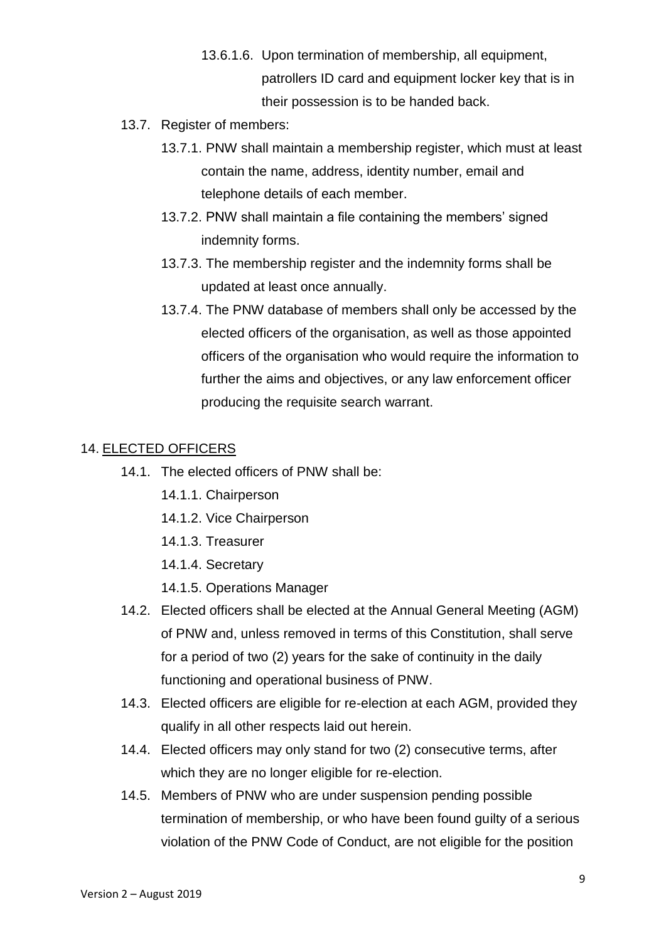- 13.6.1.6. Upon termination of membership, all equipment, patrollers ID card and equipment locker key that is in their possession is to be handed back.
- 13.7. Register of members:
	- 13.7.1. PNW shall maintain a membership register, which must at least contain the name, address, identity number, email and telephone details of each member.
	- 13.7.2. PNW shall maintain a file containing the members' signed indemnity forms.
	- 13.7.3. The membership register and the indemnity forms shall be updated at least once annually.
	- 13.7.4. The PNW database of members shall only be accessed by the elected officers of the organisation, as well as those appointed officers of the organisation who would require the information to further the aims and objectives, or any law enforcement officer producing the requisite search warrant.

### 14. ELECTED OFFICERS

- 14.1. The elected officers of PNW shall be:
	- 14.1.1. Chairperson
	- 14.1.2. Vice Chairperson
	- 14.1.3. Treasurer
	- 14.1.4. Secretary
	- 14.1.5. Operations Manager
- 14.2. Elected officers shall be elected at the Annual General Meeting (AGM) of PNW and, unless removed in terms of this Constitution, shall serve for a period of two (2) years for the sake of continuity in the daily functioning and operational business of PNW.
- 14.3. Elected officers are eligible for re-election at each AGM, provided they qualify in all other respects laid out herein.
- 14.4. Elected officers may only stand for two (2) consecutive terms, after which they are no longer eligible for re-election.
- 14.5. Members of PNW who are under suspension pending possible termination of membership, or who have been found guilty of a serious violation of the PNW Code of Conduct, are not eligible for the position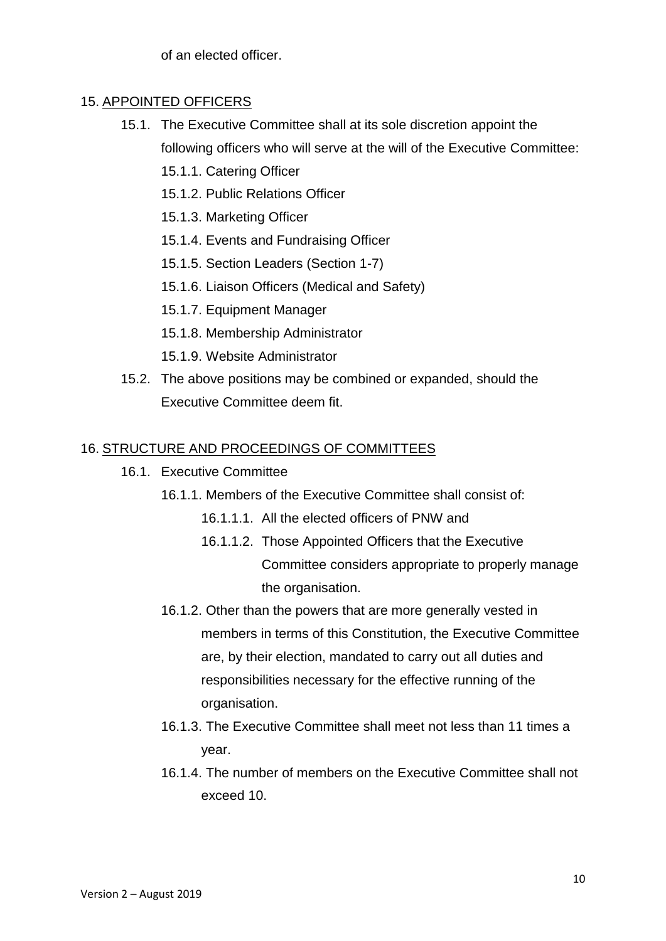of an elected officer.

### 15. APPOINTED OFFICERS

- 15.1. The Executive Committee shall at its sole discretion appoint the following officers who will serve at the will of the Executive Committee:
	- 15.1.1. Catering Officer
	- 15.1.2. Public Relations Officer
	- 15.1.3. Marketing Officer
	- 15.1.4. Events and Fundraising Officer
	- 15.1.5. Section Leaders (Section 1-7)
	- 15.1.6. Liaison Officers (Medical and Safety)
	- 15.1.7. Equipment Manager
	- 15.1.8. Membership Administrator
	- 15.1.9. Website Administrator
- 15.2. The above positions may be combined or expanded, should the Executive Committee deem fit.

### 16. STRUCTURE AND PROCEEDINGS OF COMMITTEES

- 16.1. Executive Committee
	- 16.1.1. Members of the Executive Committee shall consist of:
		- 16.1.1.1. All the elected officers of PNW and
		- 16.1.1.2. Those Appointed Officers that the Executive Committee considers appropriate to properly manage the organisation.
	- 16.1.2. Other than the powers that are more generally vested in members in terms of this Constitution, the Executive Committee are, by their election, mandated to carry out all duties and responsibilities necessary for the effective running of the organisation.
	- 16.1.3. The Executive Committee shall meet not less than 11 times a year.
	- 16.1.4. The number of members on the Executive Committee shall not exceed 10.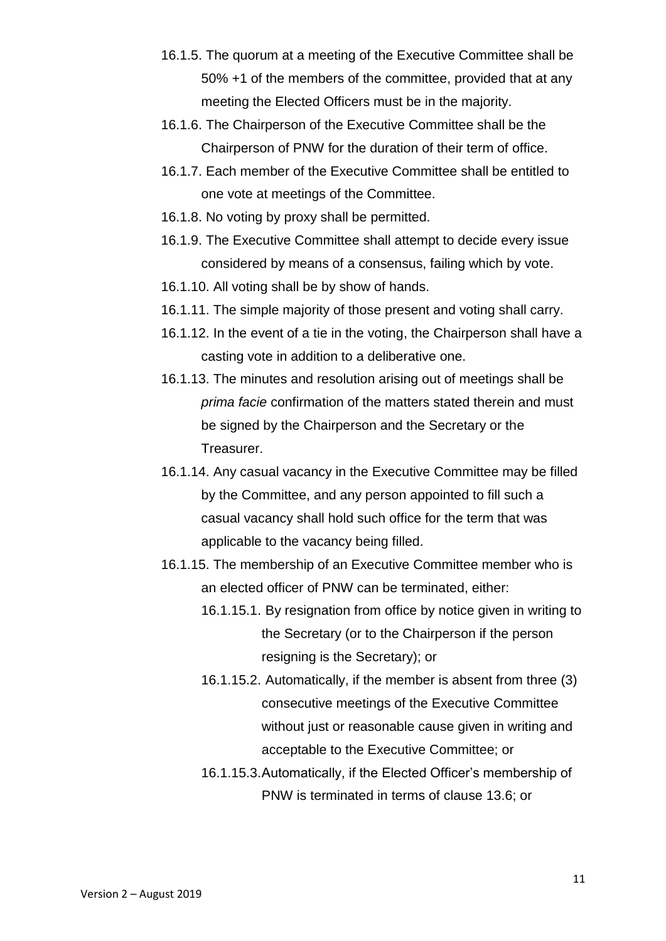- 16.1.5. The quorum at a meeting of the Executive Committee shall be 50% +1 of the members of the committee, provided that at any meeting the Elected Officers must be in the majority.
- 16.1.6. The Chairperson of the Executive Committee shall be the Chairperson of PNW for the duration of their term of office.
- 16.1.7. Each member of the Executive Committee shall be entitled to one vote at meetings of the Committee.
- 16.1.8. No voting by proxy shall be permitted.
- 16.1.9. The Executive Committee shall attempt to decide every issue considered by means of a consensus, failing which by vote.
- 16.1.10. All voting shall be by show of hands.
- 16.1.11. The simple majority of those present and voting shall carry.
- 16.1.12. In the event of a tie in the voting, the Chairperson shall have a casting vote in addition to a deliberative one.
- 16.1.13. The minutes and resolution arising out of meetings shall be *prima facie* confirmation of the matters stated therein and must be signed by the Chairperson and the Secretary or the Treasurer.
- 16.1.14. Any casual vacancy in the Executive Committee may be filled by the Committee, and any person appointed to fill such a casual vacancy shall hold such office for the term that was applicable to the vacancy being filled.
- 16.1.15. The membership of an Executive Committee member who is an elected officer of PNW can be terminated, either:
	- 16.1.15.1. By resignation from office by notice given in writing to the Secretary (or to the Chairperson if the person resigning is the Secretary); or
	- 16.1.15.2. Automatically, if the member is absent from three (3) consecutive meetings of the Executive Committee without just or reasonable cause given in writing and acceptable to the Executive Committee; or
	- 16.1.15.3.Automatically, if the Elected Officer's membership of PNW is terminated in terms of clause 13.6; or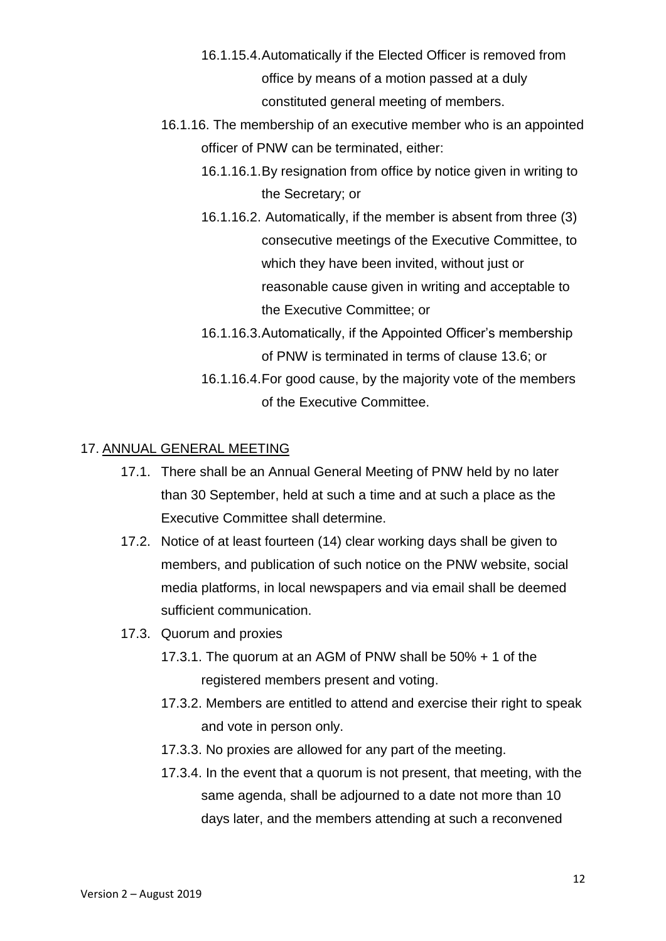- 16.1.15.4.Automatically if the Elected Officer is removed from office by means of a motion passed at a duly constituted general meeting of members.
- 16.1.16. The membership of an executive member who is an appointed officer of PNW can be terminated, either:
	- 16.1.16.1.By resignation from office by notice given in writing to the Secretary; or
	- 16.1.16.2. Automatically, if the member is absent from three (3) consecutive meetings of the Executive Committee, to which they have been invited, without just or reasonable cause given in writing and acceptable to the Executive Committee; or
	- 16.1.16.3.Automatically, if the Appointed Officer's membership of PNW is terminated in terms of clause 13.6; or
	- 16.1.16.4.For good cause, by the majority vote of the members of the Executive Committee.

### 17. ANNUAL GENERAL MEETING

- 17.1. There shall be an Annual General Meeting of PNW held by no later than 30 September, held at such a time and at such a place as the Executive Committee shall determine.
- 17.2. Notice of at least fourteen (14) clear working days shall be given to members, and publication of such notice on the PNW website, social media platforms, in local newspapers and via email shall be deemed sufficient communication.
- 17.3. Quorum and proxies
	- 17.3.1. The quorum at an AGM of PNW shall be 50% + 1 of the registered members present and voting.
	- 17.3.2. Members are entitled to attend and exercise their right to speak and vote in person only.
	- 17.3.3. No proxies are allowed for any part of the meeting.
	- 17.3.4. In the event that a quorum is not present, that meeting, with the same agenda, shall be adjourned to a date not more than 10 days later, and the members attending at such a reconvened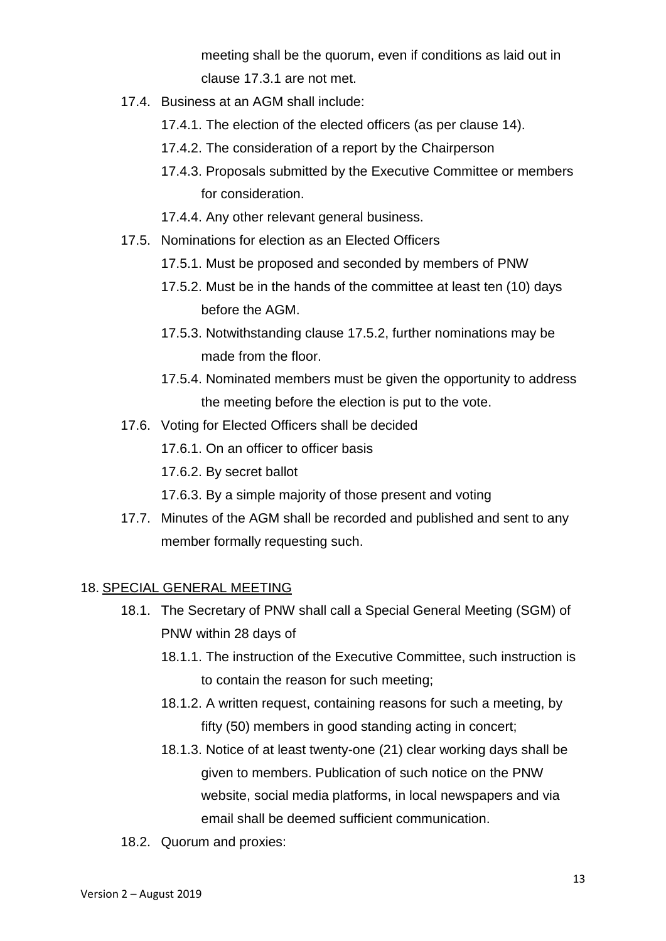meeting shall be the quorum, even if conditions as laid out in clause 17.3.1 are not met.

- 17.4. Business at an AGM shall include:
	- 17.4.1. The election of the elected officers (as per clause 14).
	- 17.4.2. The consideration of a report by the Chairperson
	- 17.4.3. Proposals submitted by the Executive Committee or members for consideration.
	- 17.4.4. Any other relevant general business.
- 17.5. Nominations for election as an Elected Officers
	- 17.5.1. Must be proposed and seconded by members of PNW
	- 17.5.2. Must be in the hands of the committee at least ten (10) days before the AGM.
	- 17.5.3. Notwithstanding clause 17.5.2, further nominations may be made from the floor.
	- 17.5.4. Nominated members must be given the opportunity to address the meeting before the election is put to the vote.
- 17.6. Voting for Elected Officers shall be decided
	- 17.6.1. On an officer to officer basis
	- 17.6.2. By secret ballot
	- 17.6.3. By a simple majority of those present and voting
- 17.7. Minutes of the AGM shall be recorded and published and sent to any member formally requesting such.

### 18. SPECIAL GENERAL MEETING

- 18.1. The Secretary of PNW shall call a Special General Meeting (SGM) of PNW within 28 days of
	- 18.1.1. The instruction of the Executive Committee, such instruction is to contain the reason for such meeting;
	- 18.1.2. A written request, containing reasons for such a meeting, by fifty (50) members in good standing acting in concert;
	- 18.1.3. Notice of at least twenty-one (21) clear working days shall be given to members. Publication of such notice on the PNW website, social media platforms, in local newspapers and via email shall be deemed sufficient communication.
- 18.2. Quorum and proxies: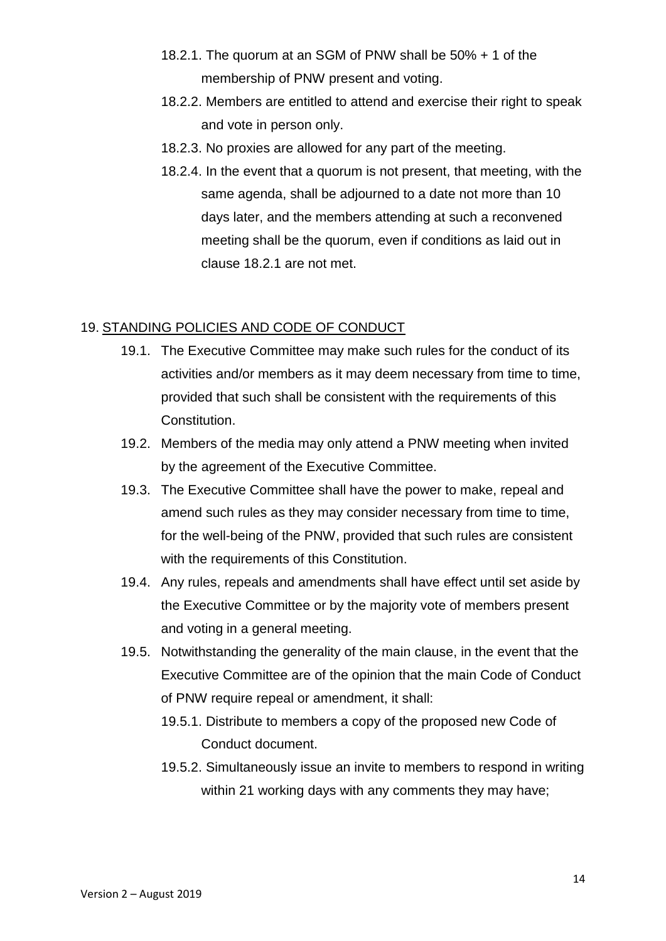- 18.2.1. The quorum at an SGM of PNW shall be 50% + 1 of the membership of PNW present and voting.
- 18.2.2. Members are entitled to attend and exercise their right to speak and vote in person only.
- 18.2.3. No proxies are allowed for any part of the meeting.
- 18.2.4. In the event that a quorum is not present, that meeting, with the same agenda, shall be adjourned to a date not more than 10 days later, and the members attending at such a reconvened meeting shall be the quorum, even if conditions as laid out in clause 18.2.1 are not met.

## 19. STANDING POLICIES AND CODE OF CONDUCT

- 19.1. The Executive Committee may make such rules for the conduct of its activities and/or members as it may deem necessary from time to time, provided that such shall be consistent with the requirements of this Constitution.
- 19.2. Members of the media may only attend a PNW meeting when invited by the agreement of the Executive Committee.
- 19.3. The Executive Committee shall have the power to make, repeal and amend such rules as they may consider necessary from time to time, for the well-being of the PNW, provided that such rules are consistent with the requirements of this Constitution.
- 19.4. Any rules, repeals and amendments shall have effect until set aside by the Executive Committee or by the majority vote of members present and voting in a general meeting.
- 19.5. Notwithstanding the generality of the main clause, in the event that the Executive Committee are of the opinion that the main Code of Conduct of PNW require repeal or amendment, it shall:
	- 19.5.1. Distribute to members a copy of the proposed new Code of Conduct document.
	- 19.5.2. Simultaneously issue an invite to members to respond in writing within 21 working days with any comments they may have;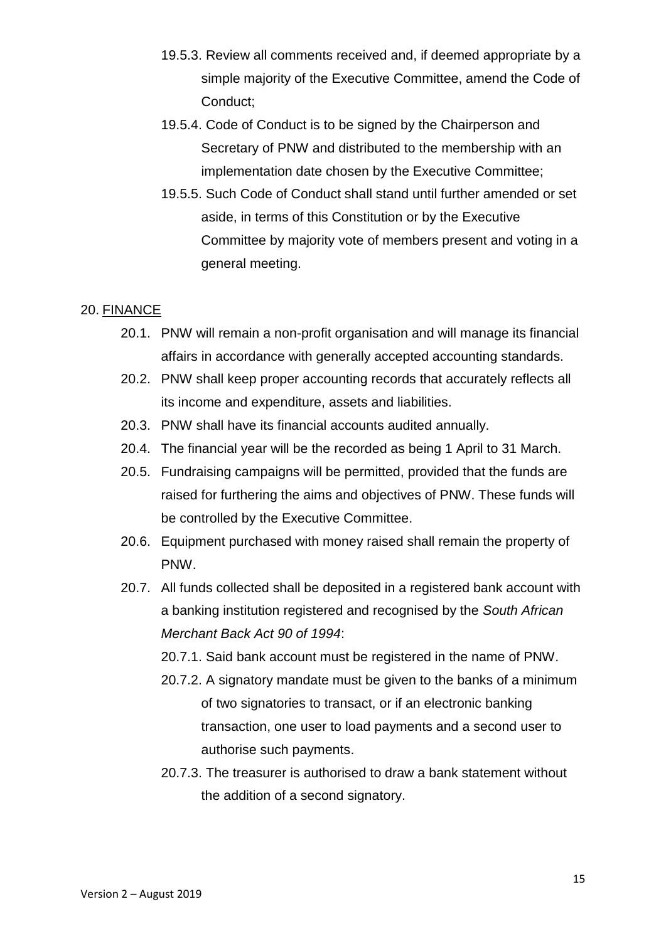- 19.5.3. Review all comments received and, if deemed appropriate by a simple majority of the Executive Committee, amend the Code of Conduct;
- 19.5.4. Code of Conduct is to be signed by the Chairperson and Secretary of PNW and distributed to the membership with an implementation date chosen by the Executive Committee;
- 19.5.5. Such Code of Conduct shall stand until further amended or set aside, in terms of this Constitution or by the Executive Committee by majority vote of members present and voting in a general meeting.

### 20. FINANCE

- 20.1. PNW will remain a non-profit organisation and will manage its financial affairs in accordance with generally accepted accounting standards.
- 20.2. PNW shall keep proper accounting records that accurately reflects all its income and expenditure, assets and liabilities.
- 20.3. PNW shall have its financial accounts audited annually.
- 20.4. The financial year will be the recorded as being 1 April to 31 March.
- 20.5. Fundraising campaigns will be permitted, provided that the funds are raised for furthering the aims and objectives of PNW. These funds will be controlled by the Executive Committee.
- 20.6. Equipment purchased with money raised shall remain the property of PNW.
- 20.7. All funds collected shall be deposited in a registered bank account with a banking institution registered and recognised by the *South African Merchant Back Act 90 of 1994*:
	- 20.7.1. Said bank account must be registered in the name of PNW.
	- 20.7.2. A signatory mandate must be given to the banks of a minimum of two signatories to transact, or if an electronic banking transaction, one user to load payments and a second user to authorise such payments.
	- 20.7.3. The treasurer is authorised to draw a bank statement without the addition of a second signatory.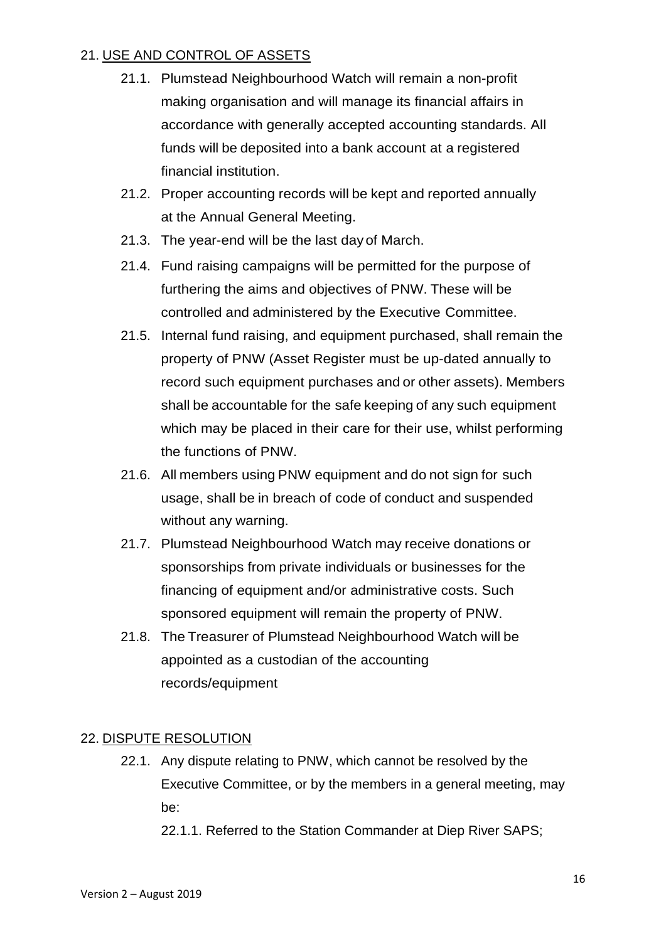## 21. USE AND CONTROL OF ASSETS

- 21.1. Plumstead Neighbourhood Watch will remain a non-profit making organisation and will manage its financial affairs in accordance with generally accepted accounting standards. All funds will be deposited into a bank account at a registered financial institution.
- 21.2. Proper accounting records will be kept and reported annually at the Annual General Meeting.
- 21.3. The year-end will be the last dayof March.
- 21.4. Fund raising campaigns will be permitted for the purpose of furthering the aims and objectives of PNW. These will be controlled and administered by the Executive Committee.
- 21.5. Internal fund raising, and equipment purchased, shall remain the property of PNW (Asset Register must be up-dated annually to record such equipment purchases and or other assets). Members shall be accountable for the safe keeping of any such equipment which may be placed in their care for their use, whilst performing the functions of PNW.
- 21.6. All members using PNW equipment and do not sign for such usage, shall be in breach of code of conduct and suspended without any warning.
- 21.7. Plumstead Neighbourhood Watch may receive donations or sponsorships from private individuals or businesses for the financing of equipment and/or administrative costs. Such sponsored equipment will remain the property of PNW.
- 21.8. The Treasurer of Plumstead Neighbourhood Watch will be appointed as a custodian of the accounting records/equipment

### 22. DISPUTE RESOLUTION

22.1. Any dispute relating to PNW, which cannot be resolved by the Executive Committee, or by the members in a general meeting, may be:

22.1.1. Referred to the Station Commander at Diep River SAPS;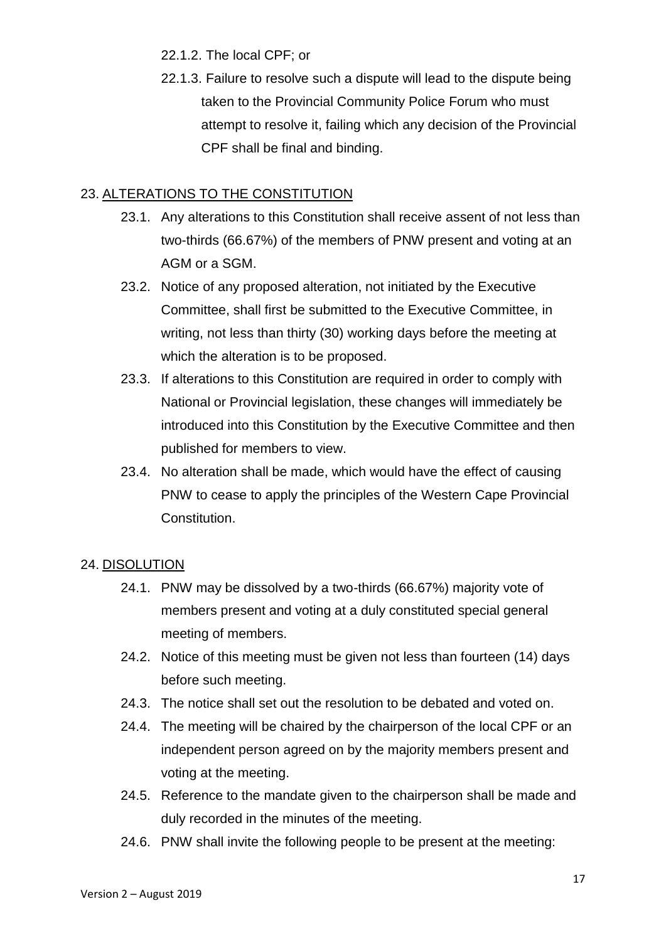22.1.2. The local CPF; or

22.1.3. Failure to resolve such a dispute will lead to the dispute being taken to the Provincial Community Police Forum who must attempt to resolve it, failing which any decision of the Provincial CPF shall be final and binding.

## 23. ALTERATIONS TO THE CONSTITUTION

- 23.1. Any alterations to this Constitution shall receive assent of not less than two-thirds (66.67%) of the members of PNW present and voting at an AGM or a SGM.
- 23.2. Notice of any proposed alteration, not initiated by the Executive Committee, shall first be submitted to the Executive Committee, in writing, not less than thirty (30) working days before the meeting at which the alteration is to be proposed.
- 23.3. If alterations to this Constitution are required in order to comply with National or Provincial legislation, these changes will immediately be introduced into this Constitution by the Executive Committee and then published for members to view.
- 23.4. No alteration shall be made, which would have the effect of causing PNW to cease to apply the principles of the Western Cape Provincial Constitution.

## 24. DISOLUTION

- 24.1. PNW may be dissolved by a two-thirds (66.67%) majority vote of members present and voting at a duly constituted special general meeting of members.
- 24.2. Notice of this meeting must be given not less than fourteen (14) days before such meeting.
- 24.3. The notice shall set out the resolution to be debated and voted on.
- 24.4. The meeting will be chaired by the chairperson of the local CPF or an independent person agreed on by the majority members present and voting at the meeting.
- 24.5. Reference to the mandate given to the chairperson shall be made and duly recorded in the minutes of the meeting.
- 24.6. PNW shall invite the following people to be present at the meeting: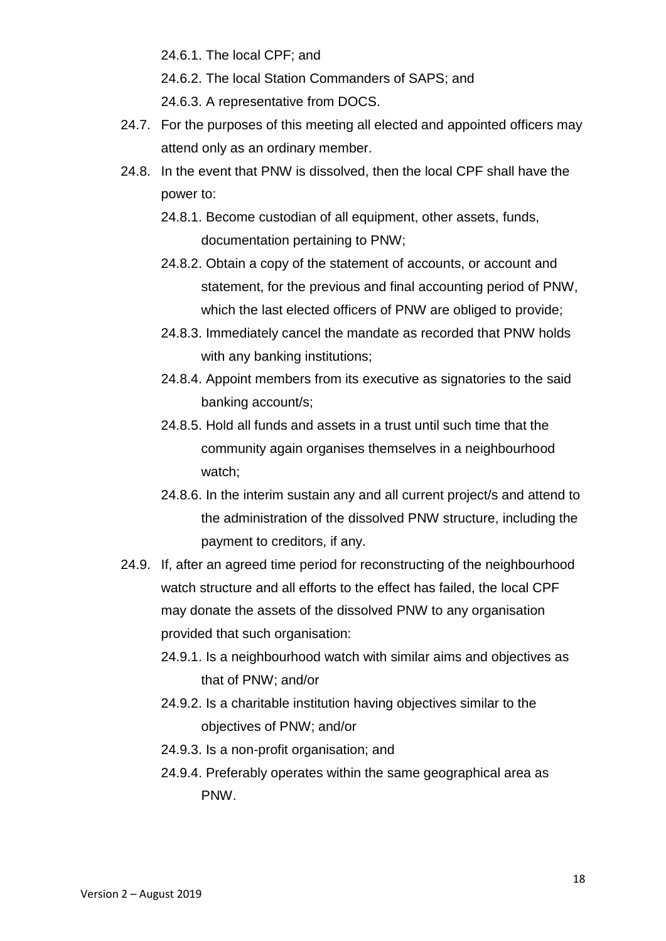24.6.1. The local CPF; and

24.6.2. The local Station Commanders of SAPS; and

24.6.3. A representative from DOCS.

- 24.7. For the purposes of this meeting all elected and appointed officers may attend only as an ordinary member.
- 24.8. In the event that PNW is dissolved, then the local CPF shall have the power to:
	- 24.8.1. Become custodian of all equipment, other assets, funds, documentation pertaining to PNW;
	- 24.8.2. Obtain a copy of the statement of accounts, or account and statement, for the previous and final accounting period of PNW, which the last elected officers of PNW are obliged to provide;
	- 24.8.3. Immediately cancel the mandate as recorded that PNW holds with any banking institutions;
	- 24.8.4. Appoint members from its executive as signatories to the said banking account/s;
	- 24.8.5. Hold all funds and assets in a trust until such time that the community again organises themselves in a neighbourhood watch;
	- 24.8.6. In the interim sustain any and all current project/s and attend to the administration of the dissolved PNW structure, including the payment to creditors, if any.
- 24.9. If, after an agreed time period for reconstructing of the neighbourhood watch structure and all efforts to the effect has failed, the local CPF may donate the assets of the dissolved PNW to any organisation provided that such organisation:
	- 24.9.1. Is a neighbourhood watch with similar aims and objectives as that of PNW; and/or
	- 24.9.2. Is a charitable institution having objectives similar to the objectives of PNW; and/or
	- 24.9.3. Is a non-profit organisation; and
	- 24.9.4. Preferably operates within the same geographical area as PNW.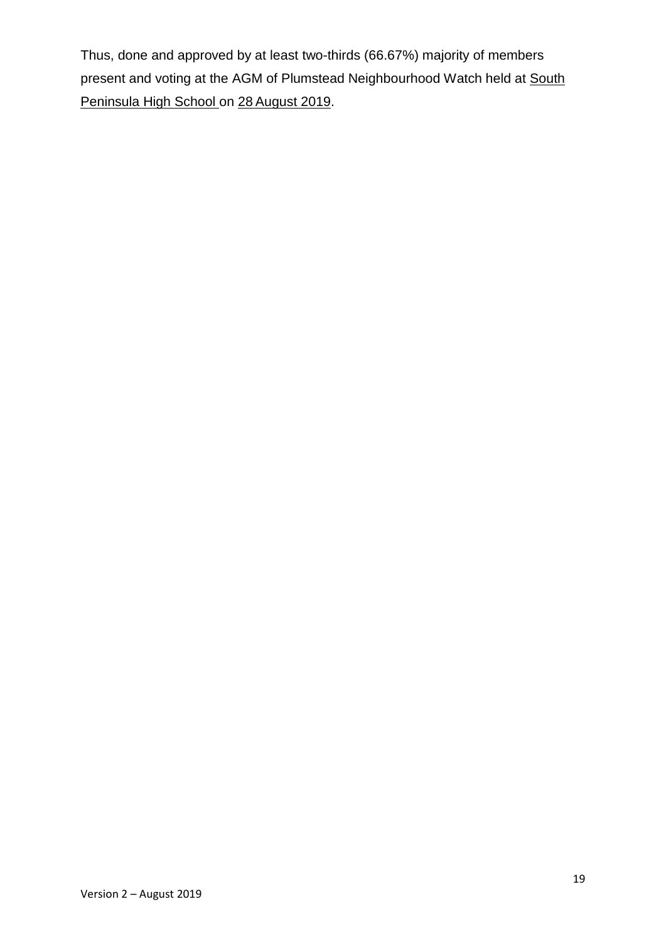Thus, done and approved by at least two-thirds (66.67%) majority of members present and voting at the AGM of Plumstead Neighbourhood Watch held at South Peninsula High School on 28 August 2019.